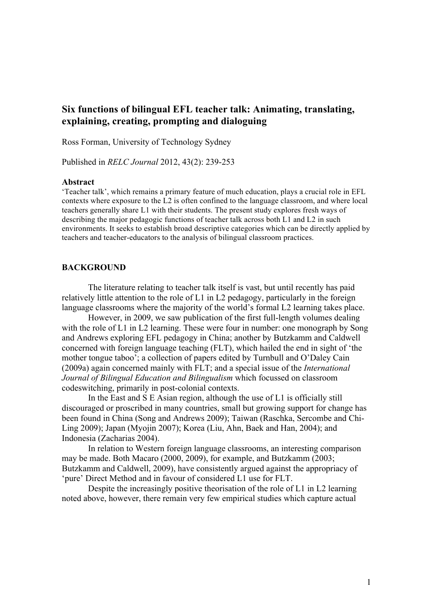# **Six functions of bilingual EFL teacher talk: Animating, translating, explaining, creating, prompting and dialoguing**

Ross Forman, University of Technology Sydney

Published in *RELC Journal* 2012, 43(2): 239-253

#### **Abstract**

'Teacher talk', which remains a primary feature of much education, plays a crucial role in EFL contexts where exposure to the L2 is often confined to the language classroom, and where local teachers generally share L1 with their students. The present study explores fresh ways of describing the major pedagogic functions of teacher talk across both L1 and L2 in such environments. It seeks to establish broad descriptive categories which can be directly applied by teachers and teacher-educators to the analysis of bilingual classroom practices.

#### **BACKGROUND**

The literature relating to teacher talk itself is vast, but until recently has paid relatively little attention to the role of L1 in L2 pedagogy, particularly in the foreign language classrooms where the majority of the world's formal L2 learning takes place.

However, in 2009, we saw publication of the first full-length volumes dealing with the role of L1 in L2 learning. These were four in number: one monograph by Song and Andrews exploring EFL pedagogy in China; another by Butzkamm and Caldwell concerned with foreign language teaching (FLT), which hailed the end in sight of 'the mother tongue taboo'; a collection of papers edited by Turnbull and O'Daley Cain (2009a) again concerned mainly with FLT; and a special issue of the *International Journal of Bilingual Education and Bilingualism* which focussed on classroom codeswitching, primarily in post-colonial contexts.

In the East and S E Asian region, although the use of L1 is officially still discouraged or proscribed in many countries, small but growing support for change has been found in China (Song and Andrews 2009); Taiwan (Raschka, Sercombe and Chi-Ling 2009); Japan (Myojin 2007); Korea (Liu, Ahn, Baek and Han, 2004); and Indonesia (Zacharias 2004).

In relation to Western foreign language classrooms, an interesting comparison may be made. Both Macaro (2000, 2009), for example, and Butzkamm (2003; Butzkamm and Caldwell, 2009), have consistently argued against the appropriacy of 'pure' Direct Method and in favour of considered L1 use for FLT.

Despite the increasingly positive theorisation of the role of L1 in L2 learning noted above, however, there remain very few empirical studies which capture actual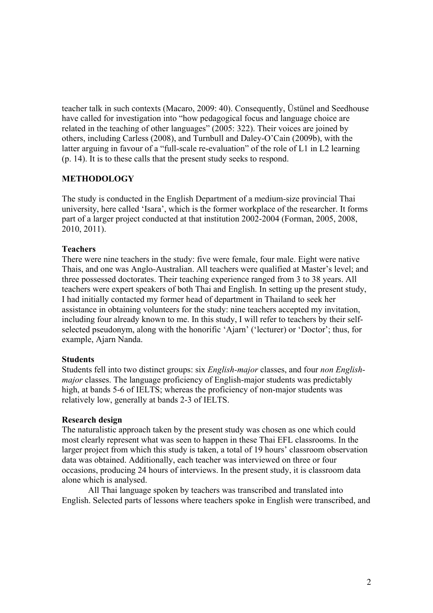teacher talk in such contexts (Macaro, 2009: 40). Consequently, Üstünel and Seedhouse have called for investigation into "how pedagogical focus and language choice are related in the teaching of other languages" (2005: 322). Their voices are joined by others, including Carless (2008), and Turnbull and Daley-O'Cain (2009b), with the latter arguing in favour of a "full-scale re-evaluation" of the role of L1 in L2 learning (p. 14). It is to these calls that the present study seeks to respond.

## **METHODOLOGY**

The study is conducted in the English Department of a medium-size provincial Thai university, here called 'Isara', which is the former workplace of the researcher. It forms part of a larger project conducted at that institution 2002-2004 (Forman, 2005, 2008, 2010, 2011).

## **Teachers**

There were nine teachers in the study: five were female, four male. Eight were native Thais, and one was Anglo-Australian. All teachers were qualified at Master's level; and three possessed doctorates. Their teaching experience ranged from 3 to 38 years. All teachers were expert speakers of both Thai and English. In setting up the present study, I had initially contacted my former head of department in Thailand to seek her assistance in obtaining volunteers for the study: nine teachers accepted my invitation, including four already known to me. In this study, I will refer to teachers by their selfselected pseudonym, along with the honorific 'Ajarn' ('lecturer) or 'Doctor'; thus, for example, Ajarn Nanda.

## **Students**

Students fell into two distinct groups: six *English-major* classes, and four *non Englishmajor* classes. The language proficiency of English-major students was predictably high, at bands 5-6 of IELTS; whereas the proficiency of non-major students was relatively low, generally at bands 2-3 of IELTS.

### **Research design**

The naturalistic approach taken by the present study was chosen as one which could most clearly represent what was seen to happen in these Thai EFL classrooms. In the larger project from which this study is taken, a total of 19 hours' classroom observation data was obtained. Additionally, each teacher was interviewed on three or four occasions, producing 24 hours of interviews. In the present study, it is classroom data alone which is analysed.

All Thai language spoken by teachers was transcribed and translated into English. Selected parts of lessons where teachers spoke in English were transcribed, and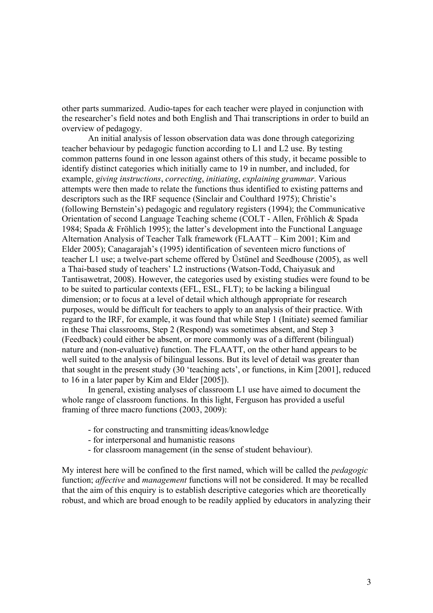other parts summarized. Audio-tapes for each teacher were played in conjunction with the researcher's field notes and both English and Thai transcriptions in order to build an overview of pedagogy.

An initial analysis of lesson observation data was done through categorizing teacher behaviour by pedagogic function according to L1 and L2 use. By testing common patterns found in one lesson against others of this study, it became possible to identify distinct categories which initially came to 19 in number, and included, for example, *giving instructions*, *correcting*, *initiating*, *explaining grammar*. Various attempts were then made to relate the functions thus identified to existing patterns and descriptors such as the IRF sequence (Sinclair and Coulthard 1975); Christie's (following Bernstein's) pedagogic and regulatory registers (1994); the Communicative Orientation of second Language Teaching scheme (COLT - Allen, Fröhlich & Spada 1984; Spada & Fröhlich 1995); the latter's development into the Functional Language Alternation Analysis of Teacher Talk framework (FLAATT – Kim 2001; Kim and Elder 2005); Canagarajah's (1995) identification of seventeen micro functions of teacher L1 use; a twelve-part scheme offered by Üstünel and Seedhouse (2005), as well a Thai-based study of teachers' L2 instructions (Watson-Todd, Chaiyasuk and Tantisawetrat, 2008). However, the categories used by existing studies were found to be to be suited to particular contexts (EFL, ESL, FLT); to be lacking a bilingual dimension; or to focus at a level of detail which although appropriate for research purposes, would be difficult for teachers to apply to an analysis of their practice. With regard to the IRF, for example, it was found that while Step 1 (Initiate) seemed familiar in these Thai classrooms, Step 2 (Respond) was sometimes absent, and Step 3 (Feedback) could either be absent, or more commonly was of a different (bilingual) nature and (non-evaluative) function. The FLAATT, on the other hand appears to be well suited to the analysis of bilingual lessons. But its level of detail was greater than that sought in the present study (30 'teaching acts', or functions, in Kim [2001], reduced to 16 in a later paper by Kim and Elder [2005]).

In general, existing analyses of classroom L1 use have aimed to document the whole range of classroom functions. In this light, Ferguson has provided a useful framing of three macro functions (2003, 2009):

- for constructing and transmitting ideas/knowledge
- for interpersonal and humanistic reasons
- for classroom management (in the sense of student behaviour).

My interest here will be confined to the first named, which will be called the *pedagogic* function; *affective* and *management* functions will not be considered. It may be recalled that the aim of this enquiry is to establish descriptive categories which are theoretically robust, and which are broad enough to be readily applied by educators in analyzing their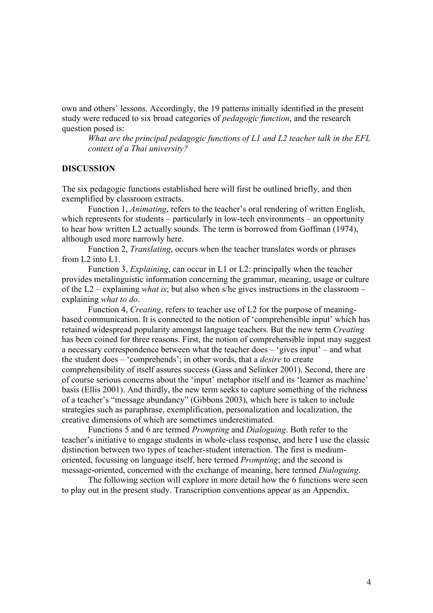own and others' lessons. Accordingly, the 19 patterns initially identified in the present study were reduced to six broad categories of *pedagogic function*, and the research question posed is:

*What are the principal pedagogic functions of L1 and L2 teacher talk in the EFL context of a Thai university?*

#### **DISCUSSION**

The six pedagogic functions established here will first be outlined briefly, and then exemplified by classroom extracts.

Function 1, *Animating*, refers to the teacher's oral rendering of written English, which represents for students – particularly in low-tech environments – an opportunity to hear how written L2 actually sounds. The term is borrowed from Goffman (1974), although used more narrowly here.

Function 2, *Translating*, occurs when the teacher translates words or phrases from L2 into L1.

Function 3, *Explaining*, can occur in L1 or L2: principally when the teacher provides metalinguistic information concerning the grammar, meaning, usage or culture of the L2 – explaining *what is*; but also when s/he gives instructions in the classroom – explaining *what to do*.

Function 4, *Creating*, refers to teacher use of L2 for the purpose of meaningbased communication. It is connected to the notion of 'comprehensible input' which has retained widespread popularity amongst language teachers. But the new term *Creating* has been coined for three reasons. First, the notion of comprehensible input may suggest a necessary correspondence between what the teacher does – 'gives input' – and what the student does – 'comprehends'; in other words, that a *desire* to create comprehensibility of itself assures success (Gass and Selinker 2001). Second, there are of course serious concerns about the 'input' metaphor itself and its 'learner as machine' basis (Ellis 2001). And thirdly, the new term seeks to capture something of the richness of a teacher's "message abundancy" (Gibbons 2003), which here is taken to include strategies such as paraphrase, exemplification, personalization and localization, the creative dimensions of which are sometimes underestimated.

Functions 5 and 6 are termed *Prompting* and *Dialoguing*. Both refer to the teacher's initiative to engage students in whole-class response, and here I use the classic distinction between two types of teacher-student interaction. The first is mediumoriented, focussing on language itself, here termed *Prompting*; and the second is message-oriented, concerned with the exchange of meaning, here termed *Dialoguing*.

The following section will explore in more detail how the 6 functions were seen to play out in the present study. Transcription conventions appear as an Appendix.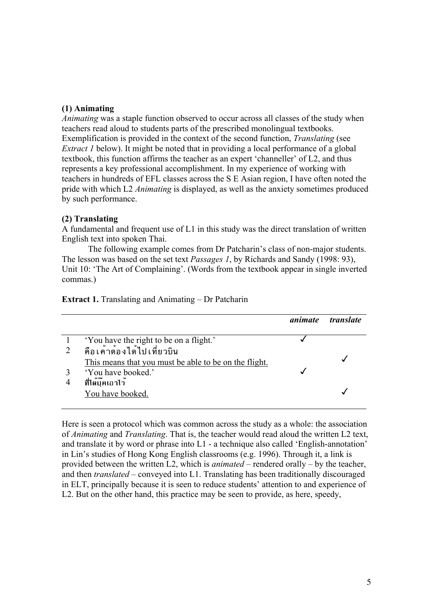### **(1) Animating**

*Animating* was a staple function observed to occur across all classes of the study when teachers read aloud to students parts of the prescribed monolingual textbooks. Exemplification is provided in the context of the second function, *Translating* (see *Extract 1* below). It might be noted that in providing a local performance of a global textbook, this function affirms the teacher as an expert 'channeller' of L2, and thus represents a key professional accomplishment. In my experience of working with teachers in hundreds of EFL classes across the S E Asian region, I have often noted the pride with which L2 *Animating* is displayed, as well as the anxiety sometimes produced by such performance.

### **(2) Translating**

A fundamental and frequent use of L1 in this study was the direct translation of written English text into spoken Thai.

The following example comes from Dr Patcharin's class of non-major students. The lesson was based on the set text *Passages 1*, by Richards and Sandy (1998: 93), Unit 10: 'The Art of Complaining'. (Words from the textbook appear in single inverted commas.)

|                                                       | animate | <i>translate</i> |
|-------------------------------------------------------|---------|------------------|
| 'You have the right to be on a flight.'               |         |                  |
| คือเค้าต้องได้ไปเที่ยวบิน                             |         |                  |
| This means that you must be able to be on the flight. |         |                  |
| 'You have booked.'                                    |         |                  |
| ที่ได้บุ๊คเอาไว้                                      |         |                  |
| You have booked.                                      |         |                  |

#### **Extract 1.** Translating and Animating – Dr Patcharin

Here is seen a protocol which was common across the study as a whole: the association of *Animating* and *Translating*. That is, the teacher would read aloud the written L2 text, and translate it by word or phrase into L1 - a technique also called 'English-annotation' in Lin's studies of Hong Kong English classrooms (e.g. 1996). Through it, a link is provided between the written L2, which is *animated* – rendered orally – by the teacher, and then *translated* – conveyed into L1. Translating has been traditionally discouraged in ELT, principally because it is seen to reduce students' attention to and experience of L2. But on the other hand, this practice may be seen to provide, as here, speedy,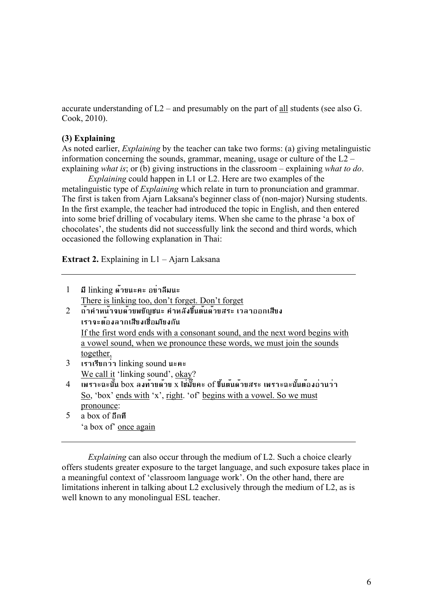accurate understanding of  $L2$  – and presumably on the part of all students (see also G. Cook, 2010).

### **(3) Explaining**

As noted earlier, *Explaining* by the teacher can take two forms: (a) giving metalinguistic information concerning the sounds, grammar, meaning, usage or culture of the L2 – explaining *what is*; or (b) giving instructions in the classroom – explaining *what to do*.

*Explaining* could happen in L1 or L2. Here are two examples of the metalinguistic type of *Explaining* which relate in turn to pronunciation and grammar. The first is taken from Ajarn Laksana's beginner class of (non-major) Nursing students. In the first example, the teacher had introduced the topic in English, and then entered into some brief drilling of vocabulary items. When she came to the phrase 'a box of chocolates', the students did not successfully link the second and third words, which occasioned the following explanation in Thai:

**Extract 2.** Explaining in L1 – Ajarn Laksana

| $\mathbf{1}$   | มี linking ด้วยนะคะ อย่าลืมนะ                                                   |
|----------------|---------------------------------------------------------------------------------|
|                | There is linking too, don't forget. Don't forget                                |
| 2              | ้ถ้าคำหน้าจบด้วยพยัญชนะ คำหลังขึ้นต้นด้วยสระ เวลาออกเสียง                       |
|                | เราจะต้องลากเสียงเชื่อมโยงกัน                                                   |
|                | If the first word ends with a consonant sound, and the next word begins with    |
|                | a vowel sound, when we pronounce these words, we must join the sounds           |
|                | together.                                                                       |
| 3 <sup>1</sup> | เราเรียกว่า linking sound นะคะ                                                  |
|                | We call it 'linking sound', okay?                                               |
| $\overline{4}$ | เพราะฉะนั้น box ลงท้ายด้วย x ใช่มั๊ยคะ of ขึ้นต้นด้วยสระ เพราะฉะนั้นต้องอ่านว่า |
|                | <u>So</u> , 'box' ends with 'x', right. 'of' begins with a vowel. So we must    |
|                | pronounce:                                                                      |

5 a box of อีกที 'a box of' once again

*Explaining* can also occur through the medium of L2. Such a choice clearly offers students greater exposure to the target language, and such exposure takes place in a meaningful context of 'classroom language work'. On the other hand, there are limitations inherent in talking about L2 exclusively through the medium of L2, as is well known to any monolingual ESL teacher.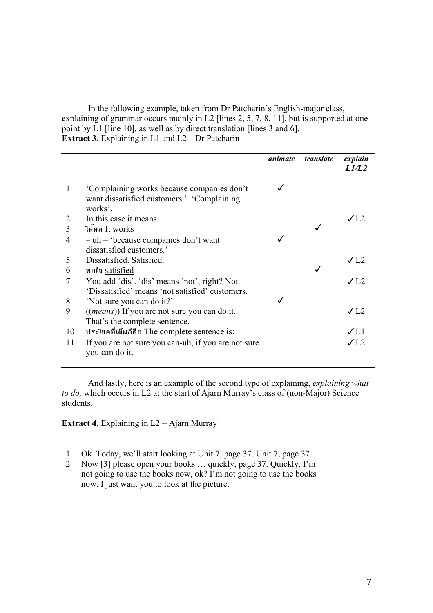In the following example, taken from Dr Patcharin's English-major class, explaining of grammar occurs mainly in L2 [lines 2, 5, 7, 8, 11], but is supported at one point by L1 [line 10], as well as by direct translation [lines 3 and 6]. **Extract 3.** Explaining in L1 and L2 – Dr Patcharin

|                                                                                                     | animate                                                                                                    | translate | explain      |
|-----------------------------------------------------------------------------------------------------|------------------------------------------------------------------------------------------------------------|-----------|--------------|
|                                                                                                     |                                                                                                            |           | L1/L2        |
| 'Complaining works because companies don't<br>want dissatisfied customers.' 'Complaining<br>works'. |                                                                                                            |           |              |
| In this case it means:                                                                              |                                                                                                            |           | $\sqrt{1.2}$ |
| ได้ผล It works                                                                                      |                                                                                                            |           |              |
| $-\uh$ – 'because companies don't want                                                              |                                                                                                            |           |              |
| dissatisfied customers.'                                                                            |                                                                                                            |           |              |
| Dissatisfied. Satisfied.                                                                            |                                                                                                            |           | $\sqrt{L2}$  |
| <b>w</b> ola satisfied                                                                              |                                                                                                            |           |              |
| You add 'dis'. 'dis' means 'not', right? Not.                                                       |                                                                                                            |           | $\sqrt{L2}$  |
| 'Dissatisfied' means 'not satisfied' customers.                                                     |                                                                                                            |           |              |
| <i>((means)</i> ) If you are not sure you can do it.                                                |                                                                                                            |           | $\sqrt{1.2}$ |
|                                                                                                     |                                                                                                            |           |              |
|                                                                                                     |                                                                                                            |           | $\sqrt{L}1$  |
| If you are not sure you can-uh, if you are not sure<br>you can do it.                               |                                                                                                            |           | J12          |
|                                                                                                     | 'Not sure you can do it?'<br>That's the complete sentence.<br>ประโยคที่เต็มก็คือ The complete sentence is: |           |              |

And lastly, here is an example of the second type of explaining, *explaining what to do*, which occurs in L2 at the start of Ajarn Murray's class of (non-Major) Science students.

**Extract 4.** Explaining in L2 – Ajarn Murray

- 1 Ok. Today, we'll start looking at Unit 7, page 37. Unit 7, page 37.
- 2 Now [3] please open your books … quickly, page 37. Quickly, I'm not going to use the books now, ok? I'm not going to use the books now. I just want you to look at the picture.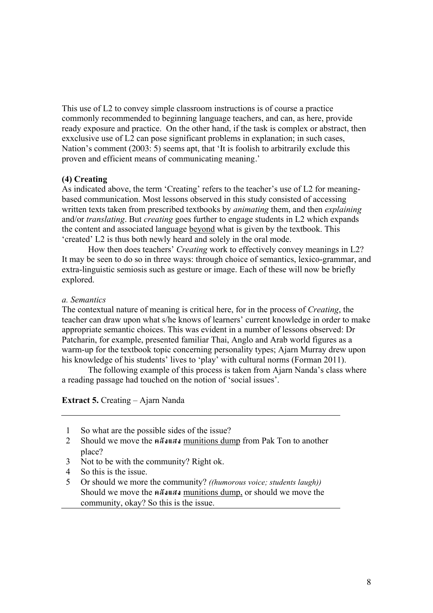This use of L2 to convey simple classroom instructions is of course a practice commonly recommended to beginning language teachers, and can, as here, provide ready exposure and practice. On the other hand, if the task is complex or abstract, then exxclusive use of L2 can pose significant problems in explanation; in such cases, Nation's comment (2003: 5) seems apt, that 'It is foolish to arbitrarily exclude this proven and efficient means of communicating meaning.'

## **(4) Creating**

As indicated above, the term 'Creating' refers to the teacher's use of L2 for meaningbased communication. Most lessons observed in this study consisted of accessing written texts taken from prescribed textbooks by *animating* them, and then *explaining* and/or *translating*. But *creating* goes further to engage students in L2 which expands the content and associated language beyond what is given by the textbook. This 'created' L2 is thus both newly heard and solely in the oral mode.

How then does teachers' *Creating* work to effectively convey meanings in L2? It may be seen to do so in three ways: through choice of semantics, lexico-grammar, and extra-linguistic semiosis such as gesture or image. Each of these will now be briefly explored.

## *a. Semantics*

The contextual nature of meaning is critical here, for in the process of *Creating*, the teacher can draw upon what s/he knows of learners' current knowledge in order to make appropriate semantic choices. This was evident in a number of lessons observed: Dr Patcharin, for example, presented familiar Thai, Anglo and Arab world figures as a warm-up for the textbook topic concerning personality types; Ajarn Murray drew upon his knowledge of his students' lives to 'play' with cultural norms (Forman 2011).

The following example of this process is taken from Ajarn Nanda's class where a reading passage had touched on the notion of 'social issues'.

**Extract 5.** Creating – Ajarn Nanda

- 1 So what are the possible sides of the issue?
- 2 Should we move the คลังแสง munitions dump from Pak Ton to another place?
- 3 Not to be with the community? Right ok.
- 4 So this is the issue.
- 5 Or should we more the community? *((humorous voice; students laugh))* Should we move the คลังแสง munitions dump, or should we move the community, okay? So this is the issue.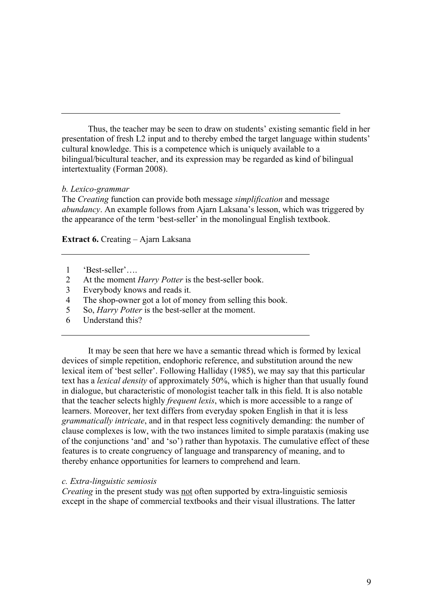Thus, the teacher may be seen to draw on students' existing semantic field in her presentation of fresh L2 input and to thereby embed the target language within students' cultural knowledge. This is a competence which is uniquely available to a bilingual/bicultural teacher, and its expression may be regarded as kind of bilingual intertextuality (Forman 2008).

### *b. Lexico-grammar*

The *Creating* function can provide both message *simplification* and message *abundancy*. An example follows from Ajarn Laksana's lesson, which was triggered by the appearance of the term 'best-seller' in the monolingual English textbook.

**Extract 6.** Creating – Ajarn Laksana

- 1 'Best-seller'….
- 2 At the moment *Harry Potter* is the best-seller book.
- 3 Everybody knows and reads it.
- 4 The shop-owner got a lot of money from selling this book.
- 5 So, *Harry Potter* is the best-seller at the moment.
- 6 Understand this?

It may be seen that here we have a semantic thread which is formed by lexical devices of simple repetition, endophoric reference, and substitution around the new lexical item of 'best seller'. Following Halliday (1985), we may say that this particular text has a *lexical density* of approximately 50%, which is higher than that usually found in dialogue, but characteristic of monologist teacher talk in this field. It is also notable that the teacher selects highly *frequent lexis*, which is more accessible to a range of learners. Moreover, her text differs from everyday spoken English in that it is less *grammatically intricate*, and in that respect less cognitively demanding: the number of clause complexes is low, with the two instances limited to simple parataxis (making use of the conjunctions 'and' and 'so') rather than hypotaxis. The cumulative effect of these features is to create congruency of language and transparency of meaning, and to thereby enhance opportunities for learners to comprehend and learn.

### *c. Extra-linguistic semiosis*

*Creating* in the present study was not often supported by extra-linguistic semiosis except in the shape of commercial textbooks and their visual illustrations. The latter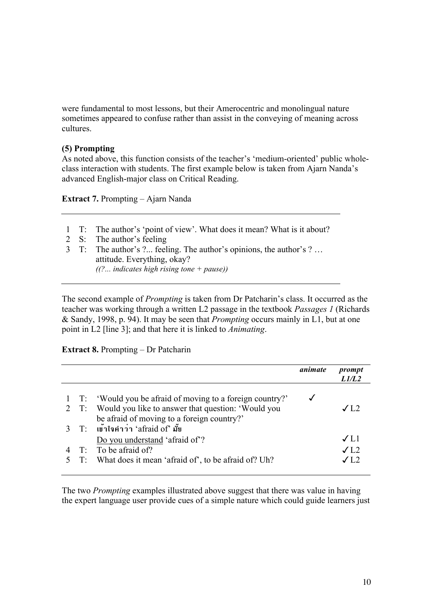were fundamental to most lessons, but their Amerocentric and monolingual nature sometimes appeared to confuse rather than assist in the conveying of meaning across cultures.

## **(5) Prompting**

As noted above, this function consists of the teacher's 'medium-oriented' public wholeclass interaction with students. The first example below is taken from Ajarn Nanda's advanced English-major class on Critical Reading.

**Extract 7.** Prompting – Ajarn Nanda

- 1 T: The author's 'point of view'. What does it mean? What is it about?
- 2 S: The author's feeling
- 3 T: The author's ?... feeling. The author's opinions, the author's ? … attitude. Everything, okay? *((?... indicates high rising tone + pause))*

The second example of *Prompting* is taken from Dr Patcharin's class. It occurred as the teacher was working through a written L2 passage in the textbook *Passages 1* (Richards & Sandy, 1998, p. 94). It may be seen that *Prompting* occurs mainly in L1, but at one point in L2 [line 3]; and that here it is linked to *Animating*.

### **Extract 8.** Prompting – Dr Patcharin

|  |                                                            | animate | prompt<br>1/1/1.2 |
|--|------------------------------------------------------------|---------|-------------------|
|  | 1 T: 'Would you be afraid of moving to a foreign country?' |         |                   |
|  | 2 T: Would you like to answer that question: 'Would you    |         | J12               |
|  | be afraid of moving to a foreign country?'                 |         |                   |
|  | 3 T: เข้าใจคำว่า 'afraid of' มั้ย                          |         |                   |
|  | Do you understand 'afraid of'?                             |         | $\sqrt{11}$       |
|  | $T$ : To be afraid of?                                     |         | $\sqrt{L2}$       |
|  | 5 T: What does it mean 'afraid of', to be afraid of? Uh?   |         | J12               |
|  |                                                            |         |                   |

The two *Prompting* examples illustrated above suggest that there was value in having the expert language user provide cues of a simple nature which could guide learners just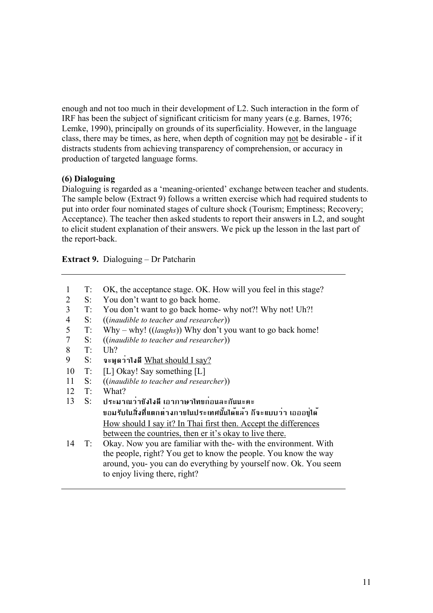enough and not too much in their development of L2. Such interaction in the form of IRF has been the subject of significant criticism for many years (e.g. Barnes, 1976; Lemke, 1990), principally on grounds of its superficiality. However, in the language class, there may be times, as here, when depth of cognition may not be desirable - if it distracts students from achieving transparency of comprehension, or accuracy in production of targeted language forms.

## **(6) Dialoguing**

Dialoguing is regarded as a 'meaning-oriented' exchange between teacher and students. The sample below (Extract 9) follows a written exercise which had required students to put into order four nominated stages of culture shock (Tourism; Emptiness; Recovery; Acceptance). The teacher then asked students to report their answers in L2, and sought to elicit student explanation of their answers. We pick up the lesson in the last part of the report-back.

**Extract 9.** Dialoguing – Dr Patcharin

- 1 T: OK, the acceptance stage. OK. How will you feel in this stage?
- 2 S: You don't want to go back home.
- 3 T: You don't want to go back home- why not?! Why not! Uh?!
- 4 S: ((*inaudible to teacher and researcher*))
- 5 T: Why why! ((*laughs*)) Why don't you want to go back home!
- 7 S: ((*inaudible to teacher and researcher*))
- $8$  T Uh?
- 9 S: จะพูดว่าไงดีWhat should I say?
- 10 T: [L] Okay! Say something [L]
- 11 S: ((*inaudible to teacher and researcher*))
- 12 T: What?
- 13 S: ประมาณว่ายังไงดีเอาภาษาไทยก่อนละกันนะคะ ยอมรับในสิ่งที่แตกต่างภายในประเทศนั้นได้แล้ว ก็จะแบบว่า เอออยู่ได้ How should I say it? In Thai first then. Accept the differences between the countries, then er it's okay to live there.
- 14 T: Okay. Now you are familiar with the- with the environment. With the people, right? You get to know the people. You know the way around, you- you can do everything by yourself now. Ok. You seem to enjoy living there, right?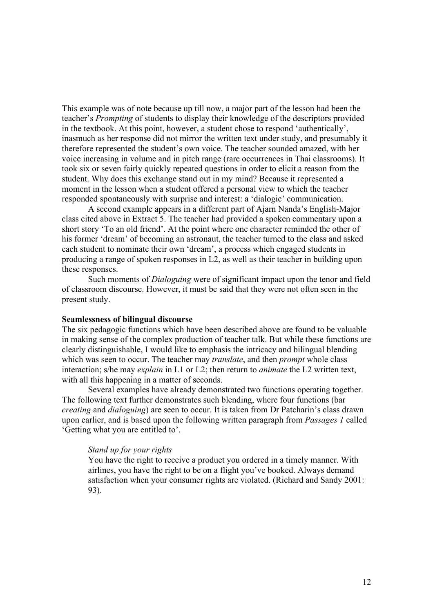This example was of note because up till now, a major part of the lesson had been the teacher's *Prompting* of students to display their knowledge of the descriptors provided in the textbook. At this point, however, a student chose to respond 'authentically', inasmuch as her response did not mirror the written text under study, and presumably it therefore represented the student's own voice. The teacher sounded amazed, with her voice increasing in volume and in pitch range (rare occurrences in Thai classrooms). It took six or seven fairly quickly repeated questions in order to elicit a reason from the student. Why does this exchange stand out in my mind? Because it represented a moment in the lesson when a student offered a personal view to which the teacher responded spontaneously with surprise and interest: a 'dialogic' communication.

A second example appears in a different part of Ajarn Nanda's English-Major class cited above in Extract 5. The teacher had provided a spoken commentary upon a short story 'To an old friend'. At the point where one character reminded the other of his former 'dream' of becoming an astronaut, the teacher turned to the class and asked each student to nominate their own 'dream', a process which engaged students in producing a range of spoken responses in L2, as well as their teacher in building upon these responses.

Such moments of *Dialoguing* were of significant impact upon the tenor and field of classroom discourse. However, it must be said that they were not often seen in the present study.

#### **Seamlessness of bilingual discourse**

The six pedagogic functions which have been described above are found to be valuable in making sense of the complex production of teacher talk. But while these functions are clearly distinguishable, I would like to emphasis the intricacy and bilingual blending which was seen to occur. The teacher may *translate*, and then *prompt* whole class interaction; s/he may *explain* in L1 or L2; then return to *animate* the L2 written text, with all this happening in a matter of seconds.

Several examples have already demonstrated two functions operating together. The following text further demonstrates such blending, where four functions (bar *creating* and *dialoguing*) are seen to occur. It is taken from Dr Patcharin's class drawn upon earlier, and is based upon the following written paragraph from *Passages 1* called 'Getting what you are entitled to'.

#### *Stand up for your rights*

You have the right to receive a product you ordered in a timely manner. With airlines, you have the right to be on a flight you've booked. Always demand satisfaction when your consumer rights are violated. (Richard and Sandy 2001: 93).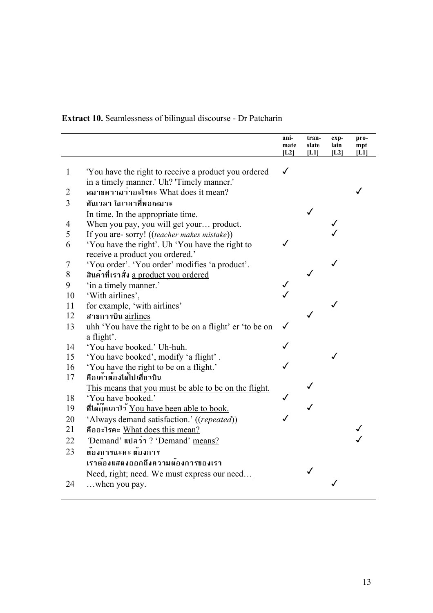**Extract 10.** Seamlessness of bilingual discourse - Dr Patcharin

|              |                                                         | ani-<br>mate<br>[L2] | tran-<br>slate<br>[L1] | exp-<br>lain<br>[L2] | pro-<br>mpt<br>[L1] |
|--------------|---------------------------------------------------------|----------------------|------------------------|----------------------|---------------------|
| $\mathbf{1}$ | 'You have the right to receive a product you ordered    | $\checkmark$         |                        |                      |                     |
|              | in a timely manner.' Uh? 'Timely manner.'               |                      |                        |                      |                     |
| 2            | หมายความว่าอะไรคะ What does it mean?                    |                      |                        |                      |                     |
| 3            | ทันเวลา ในเวลาที่พอเหมาะ                                |                      |                        |                      |                     |
|              | In time. In the appropriate time.                       |                      |                        |                      |                     |
| 4            | When you pay, you will get your product.                |                      |                        |                      |                     |
| 5            | If you are- sorry! ((teacher makes mistake))            |                      |                        |                      |                     |
| 6            | 'You have the right'. Uh 'You have the right to         |                      |                        |                      |                     |
|              | receive a product you ordered.'                         |                      |                        |                      |                     |
| 7            | 'You order'. 'You order' modifies 'a product'.          |                      |                        |                      |                     |
| 8            | สินคาที่เราสั่ง a product you ordered                   |                      |                        |                      |                     |
| 9            | 'in a timely manner.'                                   |                      |                        |                      |                     |
| 10           | 'With airlines',                                        |                      |                        |                      |                     |
| 11           | for example, 'with airlines'                            |                      |                        |                      |                     |
| 12           | สายการบิน airlines                                      |                      |                        |                      |                     |
| 13           | uhh 'You have the right to be on a flight' er 'to be on | ✓                    |                        |                      |                     |
|              | a flight'.                                              |                      |                        |                      |                     |
| 14           | 'You have booked.' Uh-huh.                              |                      |                        |                      |                     |
| 15           | 'You have booked', modify 'a flight'.                   |                      |                        |                      |                     |
| 16           | 'You have the right to be on a flight.'                 |                      |                        |                      |                     |
| 17           | คือเค้าต้องได้ไปเที่ยวบิน                               |                      |                        |                      |                     |
|              | This means that you must be able to be on the flight.   |                      |                        |                      |                     |
| 18           | 'You have booked.'                                      |                      |                        |                      |                     |
| 19           | ที่ได้บุ๊คเอาไว้ You have been able to book.            |                      |                        |                      |                     |
| 20           | 'Always demand satisfaction.' ((repeated))              |                      |                        |                      |                     |
| 21           | คืออะไรคะ What does this mean?                          |                      |                        |                      |                     |
| 22           | Demand' unain? 'Demand' means?                          |                      |                        |                      |                     |
| 23           | ต้องการนะคะ ต้องการ                                     |                      |                        |                      |                     |
|              | เราต้องแสดงออกถึงความต้องการของเรา                      |                      |                        |                      |                     |
|              | Need, right; need. We must express our need             |                      |                        |                      |                     |
| 24           | when you pay.                                           |                      |                        |                      |                     |
|              |                                                         |                      |                        |                      |                     |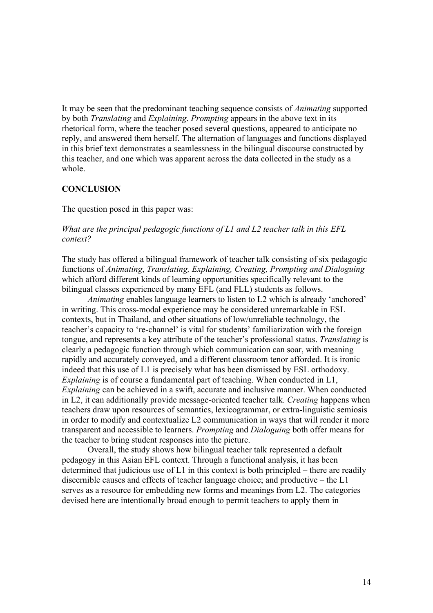It may be seen that the predominant teaching sequence consists of *Animating* supported by both *Translating* and *Explaining*. *Prompting* appears in the above text in its rhetorical form, where the teacher posed several questions, appeared to anticipate no reply, and answered them herself. The alternation of languages and functions displayed in this brief text demonstrates a seamlessness in the bilingual discourse constructed by this teacher, and one which was apparent across the data collected in the study as a whole.

### **CONCLUSION**

The question posed in this paper was:

### *What are the principal pedagogic functions of L1 and L2 teacher talk in this EFL context?*

The study has offered a bilingual framework of teacher talk consisting of six pedagogic functions of *Animating*, *Translating, Explaining, Creating, Prompting and Dialoguing*  which afford different kinds of learning opportunities specifically relevant to the bilingual classes experienced by many EFL (and FLL) students as follows.

*Animating* enables language learners to listen to L2 which is already 'anchored' in writing. This cross-modal experience may be considered unremarkable in ESL contexts, but in Thailand, and other situations of low/unreliable technology, the teacher's capacity to 're-channel' is vital for students' familiarization with the foreign tongue, and represents a key attribute of the teacher's professional status. *Translating* is clearly a pedagogic function through which communication can soar, with meaning rapidly and accurately conveyed, and a different classroom tenor afforded. It is ironic indeed that this use of L1 is precisely what has been dismissed by ESL orthodoxy. *Explaining* is of course a fundamental part of teaching. When conducted in L1, *Explaining* can be achieved in a swift, accurate and inclusive manner. When conducted in L2, it can additionally provide message-oriented teacher talk. *Creating* happens when teachers draw upon resources of semantics, lexicogrammar, or extra-linguistic semiosis in order to modify and contextualize L2 communication in ways that will render it more transparent and accessible to learners. *Prompting* and *Dialoguing* both offer means for the teacher to bring student responses into the picture.

Overall, the study shows how bilingual teacher talk represented a default pedagogy in this Asian EFL context. Through a functional analysis, it has been determined that judicious use of L1 in this context is both principled – there are readily discernible causes and effects of teacher language choice; and productive – the L1 serves as a resource for embedding new forms and meanings from L2. The categories devised here are intentionally broad enough to permit teachers to apply them in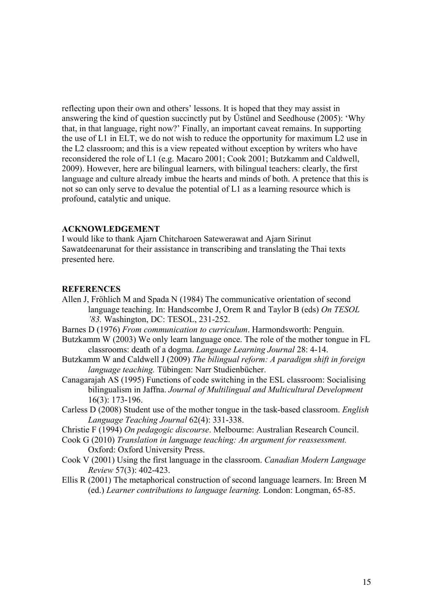reflecting upon their own and others' lessons. It is hoped that they may assist in answering the kind of question succinctly put by Üstünel and Seedhouse (2005): 'Why that, in that language, right now?' Finally, an important caveat remains. In supporting the use of L1 in ELT, we do not wish to reduce the opportunity for maximum L2 use in the L2 classroom; and this is a view repeated without exception by writers who have reconsidered the role of L1 (e.g. Macaro 2001; Cook 2001; Butzkamm and Caldwell, 2009). However, here are bilingual learners, with bilingual teachers: clearly, the first language and culture already imbue the hearts and minds of both. A pretence that this is not so can only serve to devalue the potential of L1 as a learning resource which is profound, catalytic and unique.

#### **ACKNOWLEDGEMENT**

I would like to thank Ajarn Chitcharoen Satewerawat and Ajarn Sirinut Sawatdeenarunat for their assistance in transcribing and translating the Thai texts presented here.

#### **REFERENCES**

- Allen J, Fröhlich M and Spada N (1984) The communicative orientation of second language teaching. In: Handscombe J, Orem R and Taylor B (eds) *On TESOL '83.* Washington, DC: TESOL, 231-252.
- Barnes D (1976) *From communication to curriculum*. Harmondsworth: Penguin.
- Butzkamm W (2003) We only learn language once. The role of the mother tongue in FL classrooms: death of a dogma. *Language Learning Journal* 28: 4-14.
- Butzkamm W and Caldwell J (2009) *The bilingual reform: A paradigm shift in foreign language teaching.* Tübingen: Narr Studienbücher.
- Canagarajah AS (1995) Functions of code switching in the ESL classroom: Socialising bilingualism in Jaffna. *Journal of Multilingual and Multicultural Development*  16(3): 173-196.
- Carless D (2008) Student use of the mother tongue in the task-based classroom. *English Language Teaching Journal* 62(4): 331-338.
- Christie F (1994) *On pedagogic discourse*. Melbourne: Australian Research Council.
- Cook G (2010) *Translation in language teaching: An argument for reassessment.* Oxford: Oxford University Press.
- Cook V (2001) Using the first language in the classroom. *Canadian Modern Language Review* 57(3): 402-423.
- Ellis R (2001) The metaphorical construction of second language learners. In: Breen M (ed.) *Learner contributions to language learning.* London: Longman, 65-85.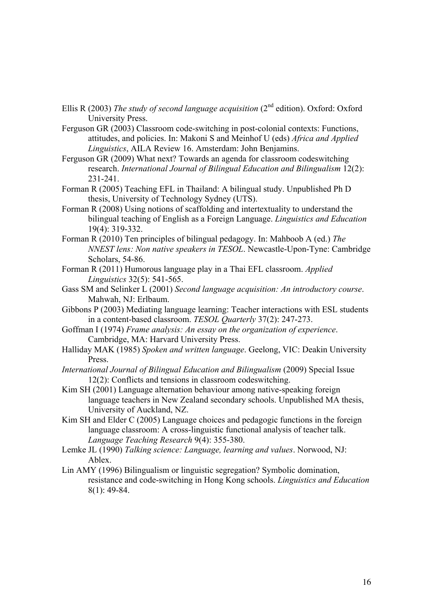- Ellis R (2003) *The study of second language acquisition* (2<sup>nd</sup> edition). Oxford: Oxford University Press.
- Ferguson GR (2003) Classroom code-switching in post-colonial contexts: Functions, attitudes, and policies. In: Makoni S and Meinhof U (eds) *Africa and Applied Linguistics*, AILA Review 16. Amsterdam: John Benjamins.
- Ferguson GR (2009) What next? Towards an agenda for classroom codeswitching research. *International Journal of Bilingual Education and Bilingualism* 12(2): 231-241.
- Forman R (2005) Teaching EFL in Thailand: A bilingual study. Unpublished Ph D thesis, University of Technology Sydney (UTS).
- Forman R (2008) Using notions of scaffolding and intertextuality to understand the bilingual teaching of English as a Foreign Language. *Linguistics and Education*  19(4): 319-332.
- Forman R (2010) Ten principles of bilingual pedagogy. In: Mahboob A (ed.) *The NNEST lens: Non native speakers in TESOL*. Newcastle-Upon-Tyne: Cambridge Scholars, 54-86.
- Forman R (2011) Humorous language play in a Thai EFL classroom. *Applied Linguistics* 32(5): 541-565.
- Gass SM and Selinker L (2001) *Second language acquisition: An introductory course*. Mahwah, NJ: Erlbaum.
- Gibbons P (2003) Mediating language learning: Teacher interactions with ESL students in a content-based classroom. *TESOL Quarterly* 37(2): 247-273.
- Goffman I (1974) *Frame analysis: An essay on the organization of experience*. Cambridge, MA: Harvard University Press.
- Halliday MAK (1985) *Spoken and written language*. Geelong, VIC: Deakin University Press.
- *International Journal of Bilingual Education and Bilingualism* (2009) Special Issue 12(2): Conflicts and tensions in classroom codeswitching.
- Kim SH (2001) Language alternation behaviour among native-speaking foreign language teachers in New Zealand secondary schools. Unpublished MA thesis, University of Auckland, NZ.
- Kim SH and Elder C (2005) Language choices and pedagogic functions in the foreign language classroom: A cross-linguistic functional analysis of teacher talk. *Language Teaching Research* 9(4): 355-380.
- Lemke JL (1990) *Talking science: Language, learning and values*. Norwood, NJ: Ablex.
- Lin AMY (1996) Bilingualism or linguistic segregation? Symbolic domination, resistance and code-switching in Hong Kong schools. *Linguistics and Education* 8(1): 49-84.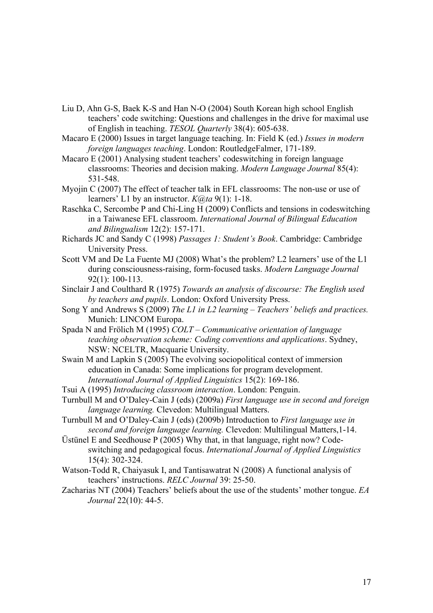- Liu D, Ahn G-S, Baek K-S and Han N-O (2004) South Korean high school English teachers' code switching: Questions and challenges in the drive for maximal use of English in teaching. *TESOL Quarterly* 38(4): 605-638.
- Macaro E (2000) Issues in target language teaching. In: Field K (ed.) *Issues in modern foreign languages teaching*. London: RoutledgeFalmer, 171-189.
- Macaro E (2001) Analysing student teachers' codeswitching in foreign language classrooms: Theories and decision making. *Modern Language Journal* 85(4): 531-548.
- Myojin C (2007) The effect of teacher talk in EFL classrooms: The non-use or use of learners' L1 by an instructor. *K@ta* 9(1): 1-18.
- Raschka C, Sercombe P and Chi-Ling H (2009) Conflicts and tensions in codeswitching in a Taiwanese EFL classroom. *International Journal of Bilingual Education and Bilingualism* 12(2): 157-171.
- Richards JC and Sandy C (1998) *Passages 1: Student's Book*. Cambridge: Cambridge University Press.
- Scott VM and De La Fuente MJ (2008) What's the problem? L2 learners' use of the L1 during consciousness-raising, form-focused tasks. *Modern Language Journal* 92(1): 100-113.
- Sinclair J and Coulthard R (1975) *Towards an analysis of discourse: The English used by teachers and pupils*. London: Oxford University Press.
- Song Y and Andrews S (2009) *The L1 in L2 learning Teachers' beliefs and practices.*  Munich: LINCOM Europa.
- Spada N and Frölich M (1995) *COLT Communicative orientation of language teaching observation scheme: Coding conventions and applications*. Sydney, NSW: NCELTR, Macquarie University.
- Swain M and Lapkin S (2005) The evolving sociopolitical context of immersion education in Canada: Some implications for program development. *International Journal of Applied Linguistics* 15(2): 169-186.
- Tsui A (1995) *Introducing classroom interaction*. London: Penguin.
- Turnbull M and O'Daley-Cain J (eds) (2009a) *First language use in second and foreign language learning.* Clevedon: Multilingual Matters.
- Turnbull M and O'Daley-Cain J (eds) (2009b) Introduction to *First language use in second and foreign language learning.* Clevedon: Multilingual Matters,1-14.
- Üstünel E and Seedhouse P (2005) Why that, in that language, right now? Codeswitching and pedagogical focus. *International Journal of Applied Linguistics* 15(4): 302-324.
- Watson-Todd R, Chaiyasuk I, and Tantisawatrat N (2008) A functional analysis of teachers' instructions. *RELC Journal* 39: 25-50.
- Zacharias NT (2004) Teachers' beliefs about the use of the students' mother tongue. *EA Journal* 22(10): 44-5.